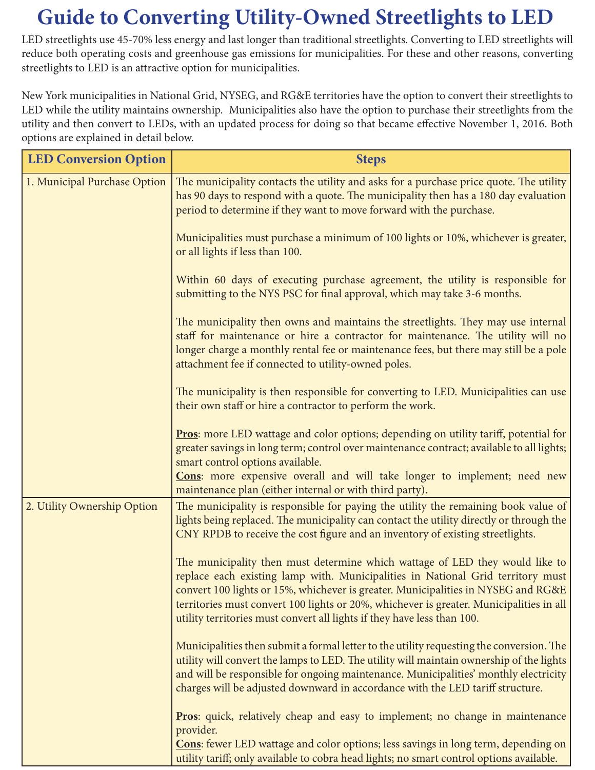## **Guide to Converting Utility-Owned Streetlights to LED**

LED streetlights use 45-70% less energy and last longer than traditional streetlights. Converting to LED streetlights will reduce both operating costs and greenhouse gas emissions for municipalities. For these and other reasons, converting streetlights to LED is an attractive option for municipalities.

New York municipalities in National Grid, NYSEG, and RG&E territories have the option to convert their streetlights to LED while the utility maintains ownership. Municipalities also have the option to purchase their streetlights from the utility and then convert to LEDs, with an updated process for doing so that became effective November 1, 2016. Both options are explained in detail below.

| <b>LED Conversion Option</b> | <b>Steps</b>                                                                                                                                                                                                                                                                                                                                                                                                               |
|------------------------------|----------------------------------------------------------------------------------------------------------------------------------------------------------------------------------------------------------------------------------------------------------------------------------------------------------------------------------------------------------------------------------------------------------------------------|
| 1. Municipal Purchase Option | The municipality contacts the utility and asks for a purchase price quote. The utility<br>has 90 days to respond with a quote. The municipality then has a 180 day evaluation<br>period to determine if they want to move forward with the purchase.                                                                                                                                                                       |
|                              | Municipalities must purchase a minimum of 100 lights or 10%, whichever is greater,<br>or all lights if less than 100.                                                                                                                                                                                                                                                                                                      |
|                              | Within 60 days of executing purchase agreement, the utility is responsible for<br>submitting to the NYS PSC for final approval, which may take 3-6 months.                                                                                                                                                                                                                                                                 |
|                              | The municipality then owns and maintains the streetlights. They may use internal<br>staff for maintenance or hire a contractor for maintenance. The utility will no<br>longer charge a monthly rental fee or maintenance fees, but there may still be a pole<br>attachment fee if connected to utility-owned poles.                                                                                                        |
|                              | The municipality is then responsible for converting to LED. Municipalities can use<br>their own staff or hire a contractor to perform the work.                                                                                                                                                                                                                                                                            |
|                              | <b>Pros:</b> more LED wattage and color options; depending on utility tariff, potential for<br>greater savings in long term; control over maintenance contract; available to all lights;<br>smart control options available.<br>Cons: more expensive overall and will take longer to implement; need new<br>maintenance plan (either internal or with third party).                                                        |
| 2. Utility Ownership Option  | The municipality is responsible for paying the utility the remaining book value of<br>lights being replaced. The municipality can contact the utility directly or through the<br>CNY RPDB to receive the cost figure and an inventory of existing streetlights.                                                                                                                                                            |
|                              | The municipality then must determine which wattage of LED they would like to<br>replace each existing lamp with. Municipalities in National Grid territory must<br>convert 100 lights or 15%, whichever is greater. Municipalities in NYSEG and RG&E<br>territories must convert 100 lights or 20%, whichever is greater. Municipalities in all<br>utility territories must convert all lights if they have less than 100. |
|                              | Municipalities then submit a formal letter to the utility requesting the conversion. The<br>utility will convert the lamps to LED. The utility will maintain ownership of the lights<br>and will be responsible for ongoing maintenance. Municipalities' monthly electricity<br>charges will be adjusted downward in accordance with the LED tariff structure.                                                             |
|                              | <b>Pros:</b> quick, relatively cheap and easy to implement; no change in maintenance<br>provider.<br><b>Cons:</b> fewer LED wattage and color options; less savings in long term, depending on<br>utility tariff; only available to cobra head lights; no smart control options available.                                                                                                                                 |